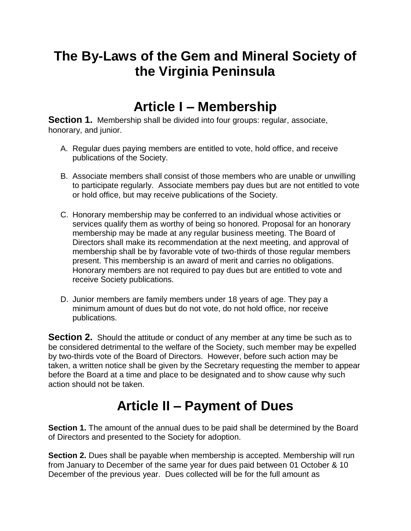### **The By-Laws of the Gem and Mineral Society of the Virginia Peninsula**

#### **Article I – Membership**

**Section 1.** Membership shall be divided into four groups: regular, associate, honorary, and junior.

- A. Regular dues paying members are entitled to vote, hold office, and receive publications of the Society.
- B. Associate members shall consist of those members who are unable or unwilling to participate regularly. Associate members pay dues but are not entitled to vote or hold office, but may receive publications of the Society.
- C. Honorary membership may be conferred to an individual whose activities or services qualify them as worthy of being so honored. Proposal for an honorary membership may be made at any regular business meeting. The Board of Directors shall make its recommendation at the next meeting, and approval of membership shall be by favorable vote of two-thirds of those regular members present. This membership is an award of merit and carries no obligations. Honorary members are not required to pay dues but are entitled to vote and receive Society publications.
- D. Junior members are family members under 18 years of age. They pay a minimum amount of dues but do not vote, do not hold office, nor receive publications.

**Section 2.** Should the attitude or conduct of any member at any time be such as to be considered detrimental to the welfare of the Society, such member may be expelled by two-thirds vote of the Board of Directors. However, before such action may be taken, a written notice shall be given by the Secretary requesting the member to appear before the Board at a time and place to be designated and to show cause why such action should not be taken.

# **Article II – Payment of Dues**

**Section 1.** The amount of the annual dues to be paid shall be determined by the Board of Directors and presented to the Society for adoption.

**Section 2.** Dues shall be payable when membership is accepted. Membership will run from January to December of the same year for dues paid between 01 October & 10 December of the previous year. Dues collected will be for the full amount as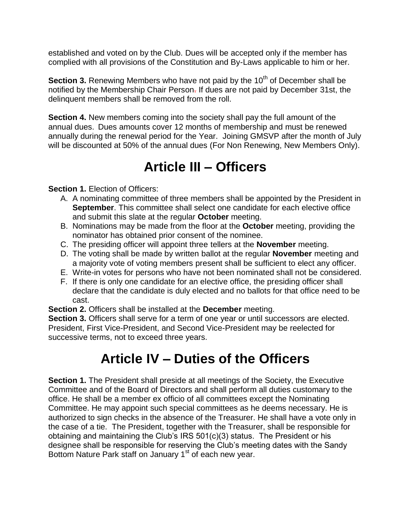established and voted on by the Club. Dues will be accepted only if the member has complied with all provisions of the Constitution and By-Laws applicable to him or her.

**Section 3.** Renewing Members who have not paid by the 10<sup>th</sup> of December shall be notified by the Membership Chair Person. If dues are not paid by December 31st, the delinquent members shall be removed from the roll.

**Section 4.** New members coming into the society shall pay the full amount of the annual dues. Dues amounts cover 12 months of membership and must be renewed annually during the renewal period for the Year. Joining GMSVP after the month of July will be discounted at 50% of the annual dues (For Non Renewing, New Members Only).

# **Article III – Officers**

**Section 1. Election of Officers:** 

- A. A nominating committee of three members shall be appointed by the President in **September**. This committee shall select one candidate for each elective office and submit this slate at the regular **October** meeting.
- B. Nominations may be made from the floor at the **October** meeting, providing the nominator has obtained prior consent of the nominee.
- C. The presiding officer will appoint three tellers at the **November** meeting.
- D. The voting shall be made by written ballot at the regular **November** meeting and a majority vote of voting members present shall be sufficient to elect any officer.
- E. Write-in votes for persons who have not been nominated shall not be considered.
- F. If there is only one candidate for an elective office, the presiding officer shall declare that the candidate is duly elected and no ballots for that office need to be cast.
- **Section 2.** Officers shall be installed at the **December** meeting.

**Section 3.** Officers shall serve for a term of one year or until successors are elected. President, First Vice-President, and Second Vice-President may be reelected for successive terms, not to exceed three years.

### **Article IV – Duties of the Officers**

**Section 1.** The President shall preside at all meetings of the Society, the Executive Committee and of the Board of Directors and shall perform all duties customary to the office. He shall be a member ex officio of all committees except the Nominating Committee. He may appoint such special committees as he deems necessary. He is authorized to sign checks in the absence of the Treasurer. He shall have a vote only in the case of a tie. The President, together with the Treasurer, shall be responsible for obtaining and maintaining the Club's IRS 501(c)(3) status. The President or his designee shall be responsible for reserving the Club's meeting dates with the Sandy Bottom Nature Park staff on January 1<sup>st</sup> of each new year.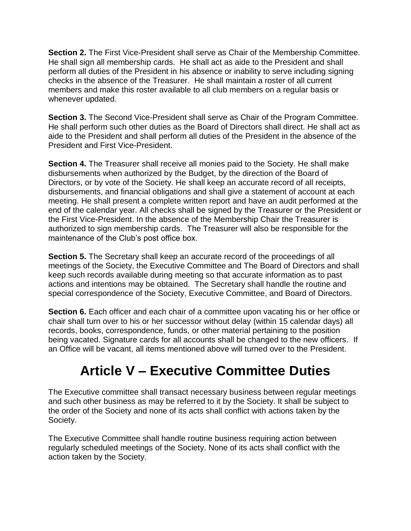**Section 2.** The First Vice-President shall serve as Chair of the Membership Committee. He shall sign all membership cards. He shall act as aide to the President and shall perform all duties of the President in his absence or inability to serve including signing checks in the absence of the Treasurer. He shall maintain a roster of all current members and make this roster available to all club members on a regular basis or whenever updated.

**Section 3.** The Second Vice-President shall serve as Chair of the Program Committee. He shall perform such other duties as the Board of Directors shall direct. He shall act as aide to the President and shall perform all duties of the President in the absence of the President and First Vice-President.

**Section 4.** The Treasurer shall receive all monies paid to the Society. He shall make disbursements when authorized by the Budget, by the direction of the Board of Directors, or by vote of the Society. He shall keep an accurate record of all receipts, disbursements, and financial obligations and shall give a statement of account at each meeting. He shall present a complete written report and have an audit performed at the end of the calendar year. All checks shall be signed by the Treasurer or the President or the First Vice-President. In the absence of the Membership Chair the Treasurer is authorized to sign membership cards. The Treasurer will also be responsible for the maintenance of the Club's post office box.

**Section 5.** The Secretary shall keep an accurate record of the proceedings of all meetings of the Society, the Executive Committee and The Board of Directors and shall keep such records available during meeting so that accurate information as to past actions and intentions may be obtained. The Secretary shall handle the routine and special correspondence of the Society, Executive Committee, and Board of Directors.

**Section 6.** Each officer and each chair of a committee upon vacating his or her office or chair shall turn over to his or her successor without delay (within 15 calendar days) all records, books, correspondence, funds, or other material pertaining to the position being vacated. Signature cards for all accounts shall be changed to the new officers. If an Office will be vacant, all items mentioned above will turned over to the President.

### **Article V – Executive Committee Duties**

The Executive committee shall transact necessary business between regular meetings and such other business as may be referred to it by the Society. It shall be subject to the order of the Society and none of its acts shall conflict with actions taken by the Society.

The Executive Committee shall handle routine business requiring action between regularly scheduled meetings of the Society. None of its acts shall conflict with the action taken by the Society.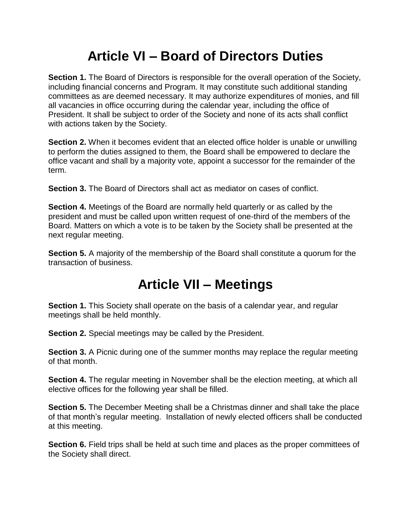# **Article VI – Board of Directors Duties**

**Section 1.** The Board of Directors is responsible for the overall operation of the Society, including financial concerns and Program. It may constitute such additional standing committees as are deemed necessary. It may authorize expenditures of monies, and fill all vacancies in office occurring during the calendar year, including the office of President. It shall be subject to order of the Society and none of its acts shall conflict with actions taken by the Society.

**Section 2.** When it becomes evident that an elected office holder is unable or unwilling to perform the duties assigned to them, the Board shall be empowered to declare the office vacant and shall by a majority vote, appoint a successor for the remainder of the term.

**Section 3.** The Board of Directors shall act as mediator on cases of conflict.

**Section 4.** Meetings of the Board are normally held quarterly or as called by the president and must be called upon written request of one-third of the members of the Board. Matters on which a vote is to be taken by the Society shall be presented at the next regular meeting.

**Section 5.** A majority of the membership of the Board shall constitute a quorum for the transaction of business.

#### **Article VII – Meetings**

**Section 1.** This Society shall operate on the basis of a calendar year, and regular meetings shall be held monthly.

**Section 2.** Special meetings may be called by the President.

**Section 3.** A Picnic during one of the summer months may replace the regular meeting of that month.

**Section 4.** The regular meeting in November shall be the election meeting, at which all elective offices for the following year shall be filled.

**Section 5.** The December Meeting shall be a Christmas dinner and shall take the place of that month's regular meeting. Installation of newly elected officers shall be conducted at this meeting.

**Section 6.** Field trips shall be held at such time and places as the proper committees of the Society shall direct.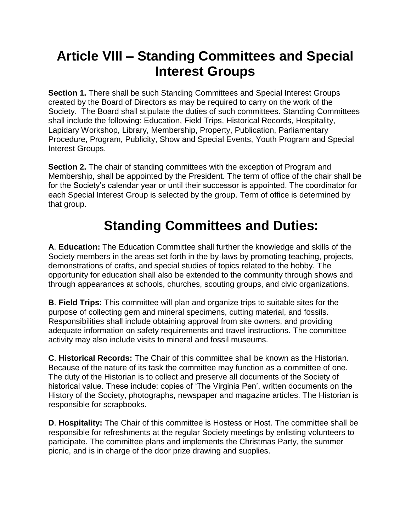### **Article VIII – Standing Committees and Special Interest Groups**

**Section 1.** There shall be such Standing Committees and Special Interest Groups created by the Board of Directors as may be required to carry on the work of the Society. The Board shall stipulate the duties of such committees. Standing Committees shall include the following: Education, Field Trips, Historical Records, Hospitality, Lapidary Workshop, Library, Membership, Property, Publication, Parliamentary Procedure, Program, Publicity, Show and Special Events, Youth Program and Special Interest Groups.

**Section 2.** The chair of standing committees with the exception of Program and Membership, shall be appointed by the President. The term of office of the chair shall be for the Society's calendar year or until their successor is appointed. The coordinator for each Special Interest Group is selected by the group. Term of office is determined by that group.

## **Standing Committees and Duties:**

**A**. **Education:** The Education Committee shall further the knowledge and skills of the Society members in the areas set forth in the by-laws by promoting teaching, projects, demonstrations of crafts, and special studies of topics related to the hobby. The opportunity for education shall also be extended to the community through shows and through appearances at schools, churches, scouting groups, and civic organizations.

**B**. **Field Trips:** This committee will plan and organize trips to suitable sites for the purpose of collecting gem and mineral specimens, cutting material, and fossils. Responsibilities shall include obtaining approval from site owners, and providing adequate information on safety requirements and travel instructions. The committee activity may also include visits to mineral and fossil museums.

**C**. **Historical Records:** The Chair of this committee shall be known as the Historian. Because of the nature of its task the committee may function as a committee of one. The duty of the Historian is to collect and preserve all documents of the Society of historical value. These include: copies of 'The Virginia Pen', written documents on the History of the Society, photographs, newspaper and magazine articles. The Historian is responsible for scrapbooks.

**D**. **Hospitality:** The Chair of this committee is Hostess or Host. The committee shall be responsible for refreshments at the regular Society meetings by enlisting volunteers to participate. The committee plans and implements the Christmas Party, the summer picnic, and is in charge of the door prize drawing and supplies.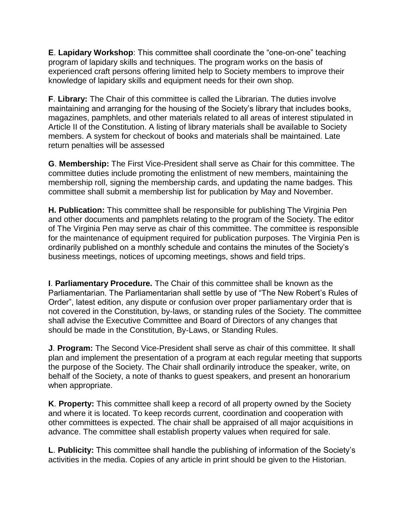**E**. **Lapidary Workshop**: This committee shall coordinate the "one-on-one" teaching program of lapidary skills and techniques. The program works on the basis of experienced craft persons offering limited help to Society members to improve their knowledge of lapidary skills and equipment needs for their own shop.

**F**. **Library:** The Chair of this committee is called the Librarian. The duties involve maintaining and arranging for the housing of the Society's library that includes books, magazines, pamphlets, and other materials related to all areas of interest stipulated in Article II of the Constitution. A listing of library materials shall be available to Society members. A system for checkout of books and materials shall be maintained. Late return penalties will be assessed

**G**. **Membership:** The First Vice-President shall serve as Chair for this committee. The committee duties include promoting the enlistment of new members, maintaining the membership roll, signing the membership cards, and updating the name badges. This committee shall submit a membership list for publication by May and November.

**H. Publication:** This committee shall be responsible for publishing The Virginia Pen and other documents and pamphlets relating to the program of the Society. The editor of The Virginia Pen may serve as chair of this committee. The committee is responsible for the maintenance of equipment required for publication purposes. The Virginia Pen is ordinarily published on a monthly schedule and contains the minutes of the Society's business meetings, notices of upcoming meetings, shows and field trips.

**I**. **Parliamentary Procedure.** The Chair of this committee shall be known as the Parliamentarian. The Parliamentarian shall settle by use of "The New Robert's Rules of Order", latest edition, any dispute or confusion over proper parliamentary order that is not covered in the Constitution, by-laws, or standing rules of the Society. The committee shall advise the Executive Committee and Board of Directors of any changes that should be made in the Constitution, By-Laws, or Standing Rules.

**J**. **Program:** The Second Vice-President shall serve as chair of this committee. It shall plan and implement the presentation of a program at each regular meeting that supports the purpose of the Society. The Chair shall ordinarily introduce the speaker, write, on behalf of the Society, a note of thanks to guest speakers, and present an honorarium when appropriate.

**K**. **Property:** This committee shall keep a record of all property owned by the Society and where it is located. To keep records current, coordination and cooperation with other committees is expected. The chair shall be appraised of all major acquisitions in advance. The committee shall establish property values when required for sale.

**L**. **Publicity:** This committee shall handle the publishing of information of the Society's activities in the media. Copies of any article in print should be given to the Historian.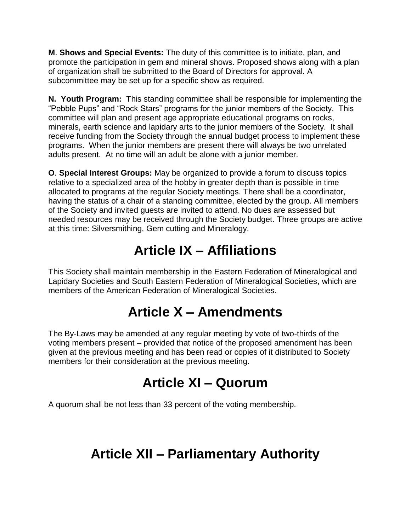**M**. **Shows and Special Events:** The duty of this committee is to initiate, plan, and promote the participation in gem and mineral shows. Proposed shows along with a plan of organization shall be submitted to the Board of Directors for approval. A subcommittee may be set up for a specific show as required.

**N. Youth Program:** This standing committee shall be responsible for implementing the "Pebble Pups" and "Rock Stars" programs for the junior members of the Society. This committee will plan and present age appropriate educational programs on rocks, minerals, earth science and lapidary arts to the junior members of the Society. It shall receive funding from the Society through the annual budget process to implement these programs. When the junior members are present there will always be two unrelated adults present. At no time will an adult be alone with a junior member.

**O**. **Special Interest Groups:** May be organized to provide a forum to discuss topics relative to a specialized area of the hobby in greater depth than is possible in time allocated to programs at the regular Society meetings. There shall be a coordinator, having the status of a chair of a standing committee, elected by the group. All members of the Society and invited guests are invited to attend. No dues are assessed but needed resources may be received through the Society budget. Three groups are active at this time: Silversmithing, Gem cutting and Mineralogy.

### **Article IX – Affiliations**

This Society shall maintain membership in the Eastern Federation of Mineralogical and Lapidary Societies and South Eastern Federation of Mineralogical Societies, which are members of the American Federation of Mineralogical Societies.

### **Article X – Amendments**

The By-Laws may be amended at any regular meeting by vote of two-thirds of the voting members present – provided that notice of the proposed amendment has been given at the previous meeting and has been read or copies of it distributed to Society members for their consideration at the previous meeting.

#### **Article XI – Quorum**

A quorum shall be not less than 33 percent of the voting membership.

### **Article XII – Parliamentary Authority**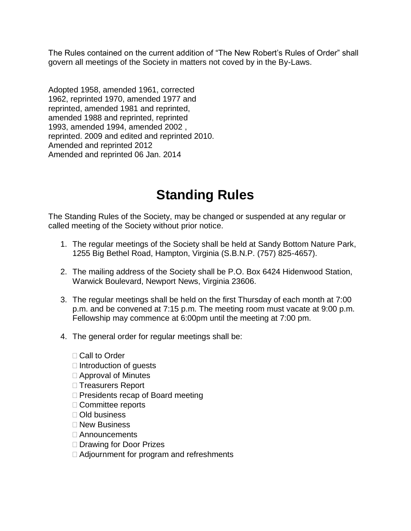The Rules contained on the current addition of "The New Robert's Rules of Order" shall govern all meetings of the Society in matters not coved by in the By-Laws.

Adopted 1958, amended 1961, corrected 1962, reprinted 1970, amended 1977 and reprinted, amended 1981 and reprinted, amended 1988 and reprinted, reprinted 1993, amended 1994, amended 2002 , reprinted. 2009 and edited and reprinted 2010. Amended and reprinted 2012 Amended and reprinted 06 Jan. 2014

## **Standing Rules**

The Standing Rules of the Society, may be changed or suspended at any regular or called meeting of the Society without prior notice.

- 1. The regular meetings of the Society shall be held at Sandy Bottom Nature Park, 1255 Big Bethel Road, Hampton, Virginia (S.B.N.P. (757) 825-4657).
- 2. The mailing address of the Society shall be P.O. Box 6424 Hidenwood Station, Warwick Boulevard, Newport News, Virginia 23606.
- 3. The regular meetings shall be held on the first Thursday of each month at 7:00 p.m. and be convened at 7:15 p.m. The meeting room must vacate at 9:00 p.m. Fellowship may commence at 6:00pm until the meeting at 7:00 pm.
- 4. The general order for regular meetings shall be:
	- □ Call to Order
	- $\Box$  Introduction of quests
	- □ Approval of Minutes
	- □ Treasurers Report
	- $\Box$  Presidents recap of Board meeting
	- □ Committee reports
	- □ Old business
	- □ New Business
	- □ Announcements
	- □ Drawing for Door Prizes
	- Adjournment for program and refreshments